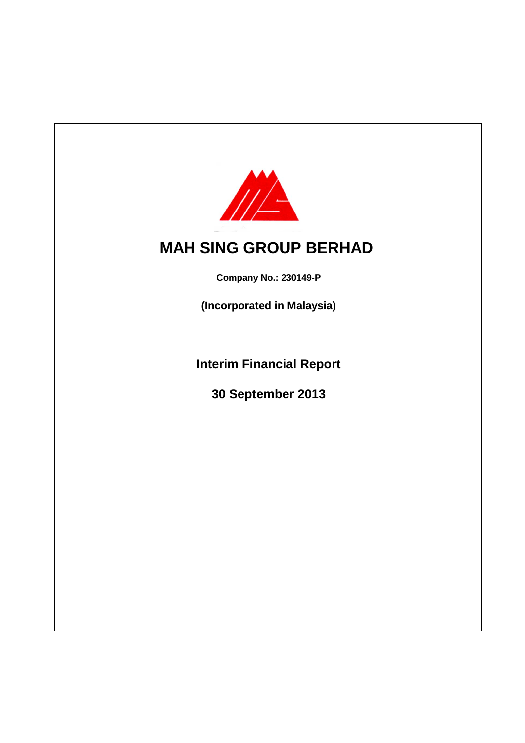

# **MAH SING GROUP BERHAD**

**Company No.: 230149-P**

**(Incorporated in Malaysia)**

**Interim Financial Report**

**30 September 2013**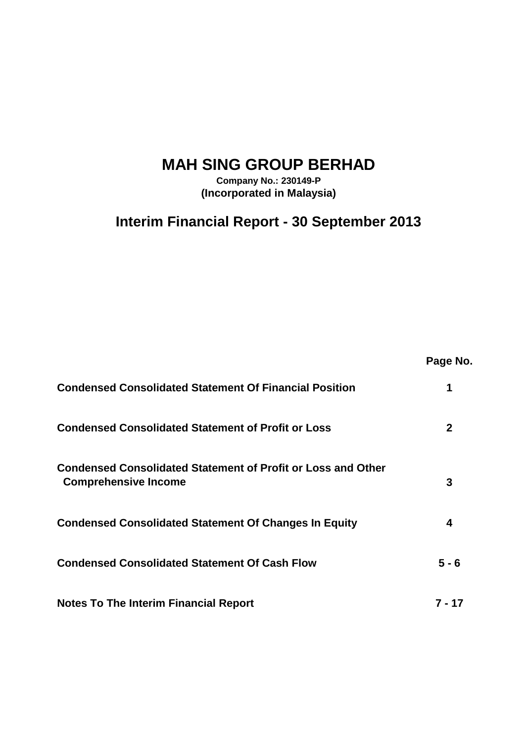# **MAH SING GROUP BERHAD**

**Company No.: 230149-P (Incorporated in Malaysia)**

## **Interim Financial Report - 30 September 2013**

**Page No. Condensed Consolidated Statement Of Financial Position 1 Condensed Consolidated Statement of Profit or Loss 2 3 Condensed Consolidated Statement Of Changes In Equity 4 Condensed Consolidated Statement Of Cash Flow 5 - 6 Notes To The Interim Financial Report 7 - 17 Condensed Consolidated Statement of Profit or Loss and Other Comprehensive Income**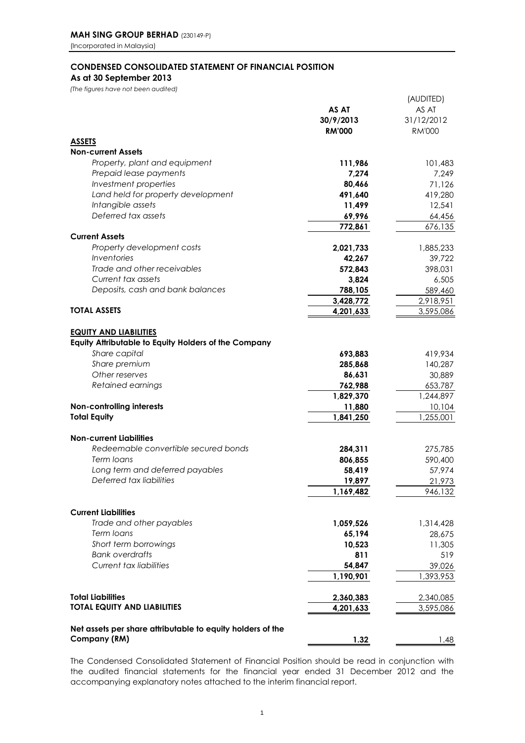### **CONDENSED CONSOLIDATED STATEMENT OF FINANCIAL POSITION As at 30 September 2013**

*(The figures have not been audited)*

|                                                                        |               | (AUDITED)     |
|------------------------------------------------------------------------|---------------|---------------|
|                                                                        | AS AT         | AS AT         |
|                                                                        | 30/9/2013     | 31/12/2012    |
|                                                                        | <b>RM'000</b> | <b>RM'000</b> |
| <b>ASSETS</b>                                                          |               |               |
| <b>Non-current Assets</b>                                              |               |               |
| Property, plant and equipment                                          | 111,986       | 101,483       |
| Prepaid lease payments                                                 | 7,274         | 7,249         |
| Investment properties                                                  | 80,466        | 71,126        |
| Land held for property development                                     | 491,640       | 419,280       |
| Intangible assets                                                      | 11,499        | 12,541        |
| Deferred tax assets                                                    | 69,996        | 64,456        |
|                                                                        | 772,861       | 676,135       |
| <b>Current Assets</b>                                                  |               |               |
| Property development costs                                             | 2,021,733     | 1,885,233     |
| Inventories                                                            | 42,267        | 39,722        |
| Trade and other receivables                                            | 572,843       | 398,031       |
| Current tax assets                                                     | 3,824         | 6,505         |
| Deposits, cash and bank balances                                       | 788,105       | 589,460       |
|                                                                        | 3,428,772     | 2,918,951     |
| <b>TOTAL ASSETS</b>                                                    | 4,201,633     | 3,595,086     |
|                                                                        |               |               |
| <b>EQUITY AND LIABILITIES</b>                                          |               |               |
| Equity Attributable to Equity Holders of the Company                   |               |               |
| Share capital                                                          | 693,883       | 419,934       |
| Share premium                                                          | 285,868       | 140,287       |
| Other reserves                                                         | 86,631        | 30,889        |
| Retained earnings                                                      | 762,988       | 653,787       |
|                                                                        | 1,829,370     | 1,244,897     |
| Non-controlling interests                                              | 11,880        | 10,104        |
| <b>Total Equity</b>                                                    | 1,841,250     | 1,255,001     |
|                                                                        |               |               |
| <b>Non-current Liabilities</b><br>Redeemable convertible secured bonds |               |               |
|                                                                        | 284,311       | 275,785       |
| Term loans                                                             | 806,855       | 590,400       |
| Long term and deferred payables                                        | 58,419        | 57,974        |
| Deferred tax liabilities                                               | 19,897        | 21,973        |
|                                                                        | 1,169,482     | 946,132       |
| <b>Current Liabilities</b>                                             |               |               |
| Trade and other payables                                               | 1,059,526     | 1,314,428     |
| Term Ioans                                                             | 65,194        | 28,675        |
| Short term borrowings                                                  | 10,523        | 11,305        |
| <b>Bank overdrafts</b>                                                 | 811           | 519           |
| <b>Current tax liabilities</b>                                         |               | 39,026        |
|                                                                        | 54,847        | 1,393,953     |
|                                                                        | 1,190,901     |               |
| <b>Total Liabilities</b>                                               | 2,360,383     | 2,340,085     |
| <b>TOTAL EQUITY AND LIABILITIES</b>                                    | 4,201,633     | 3,595,086     |
|                                                                        |               |               |
| Net assets per share attributable to equity holders of the             |               |               |
| Company (RM)                                                           | 1.32          | 1.48          |
|                                                                        |               |               |

The Condensed Consolidated Statement of Financial Position should be read in conjunction with the audited financial statements for the financial year ended 31 December 2012 and the accompanying explanatory notes attached to the interim financial report.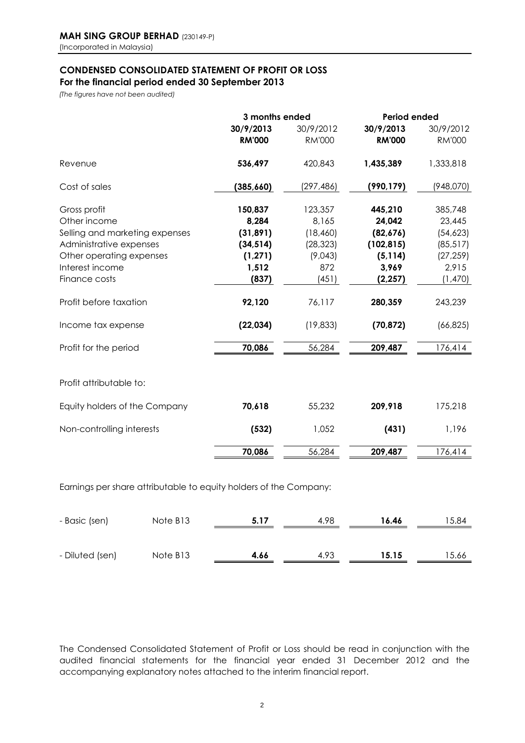# **CONDENSED CONSOLIDATED STATEMENT OF PROFIT OR LOSS**

**For the financial period ended 30 September 2013**

*(The figures have not been audited)*

|                                | 3 months ended |               | <b>Period ended</b> |               |  |
|--------------------------------|----------------|---------------|---------------------|---------------|--|
|                                | 30/9/2013      | 30/9/2012     | 30/9/2013           | 30/9/2012     |  |
|                                | <b>RM'000</b>  | <b>RM'000</b> | <b>RM'000</b>       | <b>RM'000</b> |  |
| Revenue                        | 536,497        | 420,843       | 1,435,389           | 1,333,818     |  |
| Cost of sales                  | (385, 660)     | (297,486)     | (990, 179)          | (948,070)     |  |
| Gross profit                   | 150,837        | 123,357       | 445,210             | 385,748       |  |
| Other income                   | 8,284          | 8,165         | 24,042              | 23,445        |  |
| Selling and marketing expenses | (31, 891)      | (18, 460)     | (82,676)            | (54, 623)     |  |
| Administrative expenses        | (34, 514)      | (28, 323)     | (102, 815)          | (85, 517)     |  |
| Other operating expenses       | (1, 271)       | (9,043)       | (5, 114)            | (27, 259)     |  |
| Interest income                | 1,512          | 872           | 3,969               | 2,915         |  |
| Finance costs                  | (837)          | (451)         | (2, 257)            | (1,470)       |  |
| Profit before taxation         | 92,120         | 76,117        | 280,359             | 243,239       |  |
| Income tax expense             | (22, 034)      | (19, 833)     | (70, 872)           | (66, 825)     |  |
| Profit for the period          | 70,086         | 56,284        | 209,487             | 176,414       |  |
| Profit attributable to:        |                |               |                     |               |  |
| Equity holders of the Company  | 70,618         | 55,232        | 209,918             | 175,218       |  |
| Non-controlling interests      | (532)          | 1,052         | (431)               | 1,196         |  |
|                                | 70,086         | 56,284        | 209,487             | 176,414       |  |
|                                |                |               |                     |               |  |

Earnings per share attributable to equity holders of the Company:

| - Basic (sen)   | Note B <sub>13</sub> | 5.17 | 4.98 | 16.46 | 15.84 |
|-----------------|----------------------|------|------|-------|-------|
|                 |                      |      |      |       |       |
| - Diluted (sen) | Note B <sub>13</sub> | 4.66 | 4.93 | 15.15 | 15.66 |

The Condensed Consolidated Statement of Profit or Loss should be read in conjunction with the audited financial statements for the financial year ended 31 December 2012 and the accompanying explanatory notes attached to the interim financial report.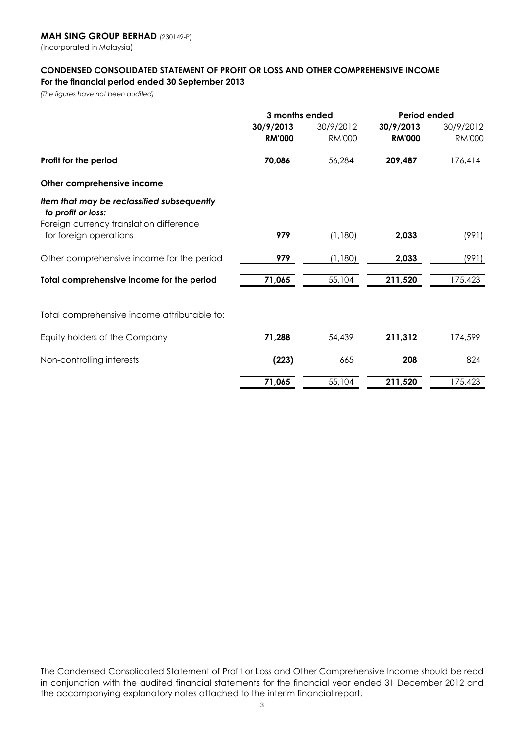### **CONDENSED CONSOLIDATED STATEMENT OF PROFIT OR LOSS AND OTHER COMPREHENSIVE INCOME For the financial period ended 30 September 2013**

*(The figures have not been audited)*

|                                                                   |               | 3 months ended |               | <b>Period ended</b> |  |
|-------------------------------------------------------------------|---------------|----------------|---------------|---------------------|--|
|                                                                   | 30/9/2013     | 30/9/2012      | 30/9/2013     | 30/9/2012           |  |
|                                                                   | <b>RM'000</b> | <b>RM'000</b>  | <b>RM'000</b> | <b>RM'000</b>       |  |
| Profit for the period                                             | 70,086        | 56,284         | 209,487       | 176,414             |  |
| Other comprehensive income                                        |               |                |               |                     |  |
| Item that may be reclassified subsequently<br>to profit or loss:  |               |                |               |                     |  |
| Foreign currency translation difference<br>for foreign operations | 979           | (1,180)        | 2,033         | (991)               |  |
| Other comprehensive income for the period                         | 979           | (1,180)        | 2,033         | (991)               |  |
| Total comprehensive income for the period                         | 71,065        | 55,104         | 211,520       | 175,423             |  |
| Total comprehensive income attributable to:                       |               |                |               |                     |  |
| Equity holders of the Company                                     | 71,288        | 54,439         | 211,312       | 174,599             |  |
| Non-controlling interests                                         | (223)         | 665            | 208           | 824                 |  |
|                                                                   | 71,065        | 55,104         | 211,520       | 175,423             |  |

The Condensed Consolidated Statement of Profit or Loss and Other Comprehensive Income should be read in conjunction with the audited financial statements for the financial year ended 31 December 2012 and the accompanying explanatory notes attached to the interim financial report.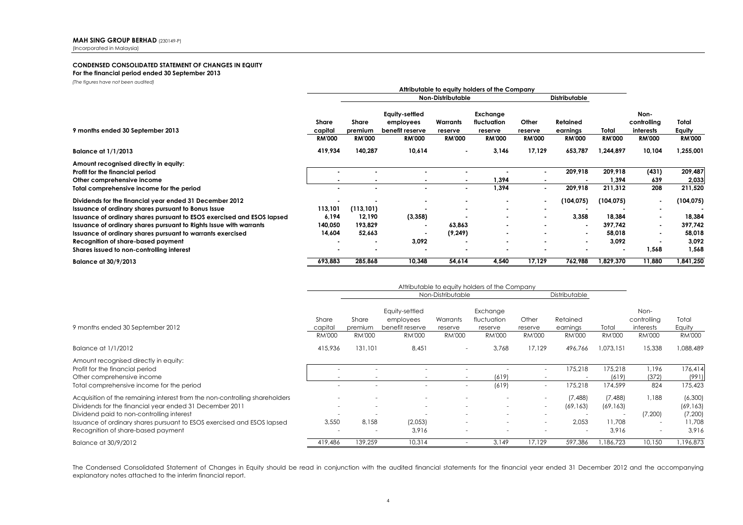#### **CONDENSED CONSOLIDATED STATEMENT OF CHANGES IN EQUITY For the financial period ended 30 September 2013**

*(The figures have not been audited)*

|                                                                                                                                              | Attributable to equity holders of the Company |                                   |                                                                 |                                      |                                                     |                                   |                                       |                                   |                                                   |                                  |
|----------------------------------------------------------------------------------------------------------------------------------------------|-----------------------------------------------|-----------------------------------|-----------------------------------------------------------------|--------------------------------------|-----------------------------------------------------|-----------------------------------|---------------------------------------|-----------------------------------|---------------------------------------------------|----------------------------------|
|                                                                                                                                              |                                               |                                   |                                                                 | Non-Distributable                    |                                                     | <b>Distributable</b>              |                                       |                                   |                                                   |                                  |
| 9 months ended 30 September 2013                                                                                                             | Share<br>capital<br><b>RM'000</b>             | Share<br>premium<br><b>RM'000</b> | Equity-settled<br>employees<br>benefit reserve<br><b>RM'000</b> | Warrants<br>reserve<br><b>RM'000</b> | Exchange<br>fluctuation<br>reserve<br><b>RM'000</b> | Other<br>reserve<br><b>RM'000</b> | Retained<br>earnings<br><b>RM'000</b> | Total<br><b>RM'000</b>            | Non-<br>controlling<br>interests<br><b>RM'000</b> | Total<br>Equity<br><b>RM'000</b> |
| <b>Balance at 1/1/2013</b>                                                                                                                   | 419,934                                       | 140,287                           | 10,614                                                          | $\blacksquare$                       | 3,146                                               | 17,129                            | 653,787                               | 1,244,897                         | 10,104                                            | 1,255,001                        |
| Amount recognised directly in equity:<br>Profit for the financial period<br>Other comprehensive income                                       |                                               |                                   |                                                                 |                                      | 1,394                                               |                                   | 209,918                               | 209,918<br>1,394                  | (431)<br>639                                      | 209,487<br>2,033                 |
| Total comprehensive income for the period                                                                                                    |                                               |                                   |                                                                 | $\blacksquare$                       | 1,394                                               |                                   | 209,918                               | 211,312                           | 208                                               | 211,520                          |
| Dividends for the financial year ended 31 December 2012<br>Issuance of ordinary shares pursuant to Bonus Issue                               | 113,101                                       | (113,101)                         |                                                                 | $\overline{\phantom{a}}$<br>$\sim$   | $\blacksquare$<br>$\blacksquare$                    | $\blacksquare$                    | (104, 075)                            | (104, 075)                        | $\blacksquare$<br>$\blacksquare$                  | (104,075)                        |
| Issuance of ordinary shares pursuant to ESOS exercised and ESOS lapsed<br>Issuance of ordinary shares pursuant to Rights Issue with warrants | 6,194<br>140,050                              | 12.190<br>193,829                 | (3,358)                                                         | 63,863                               | $\blacksquare$<br>$\blacksquare$                    |                                   | 3.358<br>$\blacksquare$               | 18.384<br>397,742                 | $\blacksquare$<br>$\blacksquare$                  | 18,384<br>397,742                |
| Issuance of ordinary shares pursuant to warrants exercised                                                                                   | 14,604                                        | 52,663                            |                                                                 | (9, 249)                             | $\blacksquare$                                      |                                   | $\blacksquare$                        | 58,018                            | $\blacksquare$                                    | 58,018                           |
| Recognition of share-based payment<br>Shares issued to non-controlling interest                                                              |                                               | $\blacksquare$                    | 3,092                                                           | $\blacksquare$                       | $\blacksquare$                                      |                                   | $\blacksquare$                        | 3,092<br>$\overline{\phantom{a}}$ | $\blacksquare$<br>1,568                           | 3,092<br>1,568                   |
| <b>Balance at 30/9/2013</b>                                                                                                                  | 693,883                                       | 285,868                           | 10,348                                                          | 54,614                               | 4,540                                               | 17,129                            | 762,988                               | ,829,370                          | 11,880                                            | ,841,250                         |

|                                                                                                                                                           | Attributable to equity holders of the Company |                                   |                                                |                                                      |                                    |                  |                                   |                                             |                                  |                            |
|-----------------------------------------------------------------------------------------------------------------------------------------------------------|-----------------------------------------------|-----------------------------------|------------------------------------------------|------------------------------------------------------|------------------------------------|------------------|-----------------------------------|---------------------------------------------|----------------------------------|----------------------------|
|                                                                                                                                                           |                                               |                                   |                                                | Non-Distributable                                    |                                    |                  | Distributable                     |                                             |                                  |                            |
| 9 months ended 30 September 2012                                                                                                                          | Share<br>capital                              | Share<br>premium                  | Equity-settled<br>employees<br>benefit reserve | Warrants<br>reserve                                  | Exchange<br>fluctuation<br>reserve | Other<br>reserve | Retained<br>earnings              | Total                                       | Non-<br>controlling<br>interests | Total<br>Equity            |
|                                                                                                                                                           | <b>RM'000</b>                                 | <b>RM'000</b>                     | <b>RM'000</b>                                  | <b>RM'000</b>                                        | <b>RM'000</b>                      | RM'000           | <b>RM'000</b>                     | <b>RM'000</b>                               | <b>RM'000</b>                    | <b>RM'000</b>              |
| Balance at 1/1/2012                                                                                                                                       | 415,936                                       | 131,101                           | 8,451                                          | $\overline{\phantom{a}}$                             | 3,768                              | 17,129           | 496,766                           | 1,073,151                                   | 15,338                           | 088,489                    |
| Amount recognised directly in equity:<br>Profit for the financial period<br>Other comprehensive income                                                    |                                               |                                   |                                                |                                                      | (619)                              |                  | 175,218                           | 175,218<br>(619)                            | 1,196<br>(372)                   | 176,414<br>(991)           |
| Total comprehensive income for the period                                                                                                                 |                                               |                                   |                                                | $\overline{\phantom{a}}$                             | (619)                              | ۰.               | 175,218                           | 174,599                                     | 824                              | 175,423                    |
| Acquisition of the remaining interest from the non-controlling shareholders<br>Dividends for the financial year ended 31 December 2011                    | $\sim$                                        |                                   | ×.                                             | $\overline{\phantom{a}}$<br>$\overline{\phantom{a}}$ | $\overline{\phantom{a}}$<br>٠      | ÷<br>۰.          | (7, 488)<br>(69, 163)             | (7, 488)<br>(69, 163)                       | 1,188                            | (6,300)<br>(69, 163)       |
| Dividend paid to non-controlling interest<br>Issuance of ordinary shares pursuant to ESOS exercised and ESOS lapsed<br>Recognition of share-based payment | 3,550                                         | 8,158<br>$\overline{\phantom{a}}$ | (2,053)<br>3,916                               | $\overline{\phantom{a}}$<br>$\sim$                   | $\sim$                             | ۰                | 2,053<br>$\overline{\phantom{a}}$ | $\overline{\phantom{a}}$<br>11,708<br>3,916 | (7,200)<br>$\sim$<br>٠           | (7,200)<br>11,708<br>3,916 |
| Balance at 30/9/2012                                                                                                                                      | 419,486                                       | 139,259                           | 10,314                                         |                                                      | 3,149                              | 17.129           | 597,386                           | ,186,723                                    | 10,150                           | ,196,873                   |

The Condensed Consolidated Statement of Changes in Equity should be read in conjunction with the audited financial statements for the financial year ended 31 December 2012 and the accompanying explanatory notes attached to the interim financial report.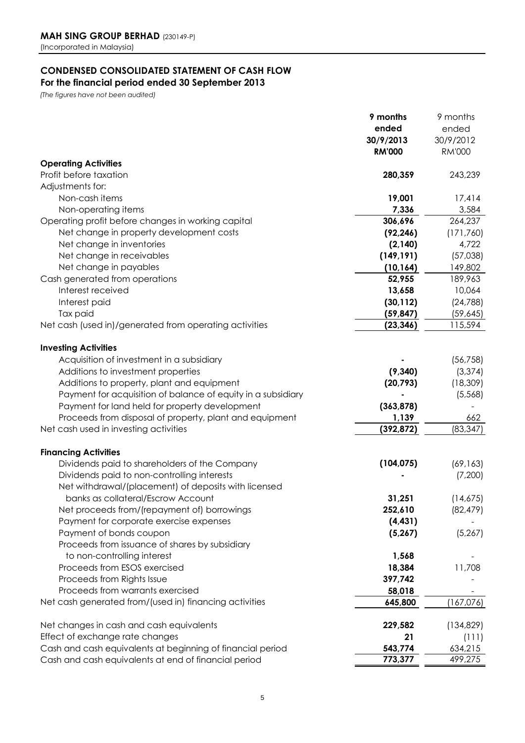# **CONDENSED CONSOLIDATED STATEMENT OF CASH FLOW**

### **For the financial period ended 30 September 2013**

*(The figures have not been audited)*

|                                                                                               | 9 months           | 9 months           |
|-----------------------------------------------------------------------------------------------|--------------------|--------------------|
|                                                                                               | ended              | ended              |
|                                                                                               | 30/9/2013          | 30/9/2012          |
|                                                                                               | <b>RM'000</b>      | <b>RM'000</b>      |
| <b>Operating Activities</b>                                                                   |                    |                    |
| Profit before taxation                                                                        | 280,359            | 243,239            |
| Adjustments for:                                                                              |                    |                    |
| Non-cash items                                                                                | 19,001             | 17,414             |
| Non-operating items                                                                           | 7,336              | 3,584              |
| Operating profit before changes in working capital                                            | 306,696            | 264,237            |
| Net change in property development costs                                                      | (92, 246)          | (171, 760)         |
| Net change in inventories                                                                     | (2, 140)           | 4,722              |
| Net change in receivables                                                                     | (149, 191)         | (57,038)           |
| Net change in payables                                                                        | (10, 164)          | 149,802            |
| Cash generated from operations                                                                | 52,955             | 189,963            |
| Interest received                                                                             | 13,658             | 10,064             |
| Interest paid                                                                                 | (30, 112)          | (24, 788)          |
| Tax paid                                                                                      | (59, 847)          | (59, 645)          |
| Net cash (used in)/generated from operating activities                                        | (23, 346)          | 115,594            |
|                                                                                               |                    |                    |
| <b>Investing Activities</b>                                                                   |                    |                    |
| Acquisition of investment in a subsidiary                                                     |                    | (56, 758)          |
| Additions to investment properties                                                            | (9, 340)           | (3, 374)           |
| Additions to property, plant and equipment                                                    | (20, 793)          | (18, 309)          |
| Payment for acquisition of balance of equity in a subsidiary                                  |                    | (5,568)            |
| Payment for land held for property development                                                | (363, 878)         |                    |
| Proceeds from disposal of property, plant and equipment                                       | 1,139              | 662                |
| Net cash used in investing activities                                                         | (392, 872)         | (83, 347)          |
|                                                                                               |                    |                    |
| <b>Financing Activities</b>                                                                   |                    |                    |
| Dividends paid to shareholders of the Company                                                 | (104, 075)         | (69, 163)          |
| Dividends paid to non-controlling interests                                                   |                    | (7,200)            |
| Net withdrawal/(placement) of deposits with licensed                                          |                    |                    |
| banks as collateral/Escrow Account                                                            | 31,251             | (14,675)           |
| Net proceeds from/(repayment of) borrowings                                                   | 252,610            | (82, 479)          |
| Payment for corporate exercise expenses                                                       | (4, 431)           |                    |
| Payment of bonds coupon                                                                       | (5, 267)           | (5, 267)           |
| Proceeds from issuance of shares by subsidiary                                                |                    |                    |
| to non-controlling interest                                                                   | 1,568              |                    |
| Proceeds from ESOS exercised                                                                  | 18,384             | 11,708             |
| Proceeds from Rights Issue                                                                    | 397,742            |                    |
| Proceeds from warrants exercised                                                              | 58,018             |                    |
| Net cash generated from/(used in) financing activities                                        | 645,800            | (167,076)          |
| Net changes in cash and cash equivalents                                                      |                    | (134, 829)         |
|                                                                                               | 229,582<br>21      |                    |
| Effect of exchange rate changes<br>Cash and cash equivalents at beginning of financial period |                    | (111)              |
|                                                                                               | 543,774<br>773,377 | 634,215<br>499,275 |
| Cash and cash equivalents at end of financial period                                          |                    |                    |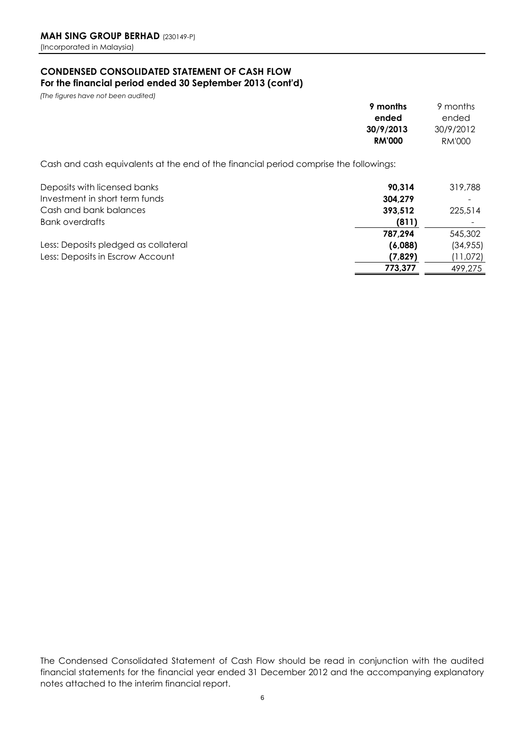### **CONDENSED CONSOLIDATED STATEMENT OF CASH FLOW For the financial period ended 30 September 2013 (cont'd)**

*(The figures have not been audited)*

| 9 months      | 9 months  |
|---------------|-----------|
| ended         | ended     |
| 30/9/2013     | 30/9/2012 |
| <b>RM'000</b> | RM'000    |
|               |           |

Cash and cash equivalents at the end of the financial period comprise the followings:

| Deposits with licensed banks         | 90.314  | 319,788  |
|--------------------------------------|---------|----------|
| Investment in short term funds       | 304,279 |          |
| Cash and bank balances               | 393,512 | 225,514  |
| <b>Bank overdrafts</b>               | (811)   | ٠        |
|                                      | 787.294 | 545,302  |
| Less: Deposits pledged as collateral | (6,088) | (34,955) |
| Less: Deposits in Escrow Account     | (7,829) | (11,072) |
|                                      | 773,377 | 499.275  |

The Condensed Consolidated Statement of Cash Flow should be read in conjunction with the audited financial statements for the financial year ended 31 December 2012 and the accompanying explanatory notes attached to the interim financial report.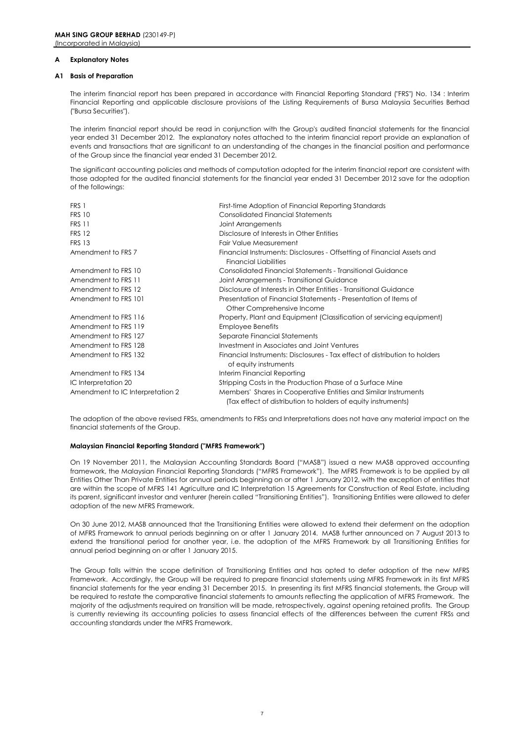#### **A Explanatory Notes**

#### **A1 Basis of Preparation**

The interim financial report has been prepared in accordance with Financial Reporting Standard ("FRS") No. 134 : Interim Financial Reporting and applicable disclosure provisions of the Listing Requirements of Bursa Malaysia Securities Berhad ("Bursa Securities").

The interim financial report should be read in conjunction with the Group's audited financial statements for the financial year ended 31 December 2012. The explanatory notes attached to the interim financial report provide an explanation of events and transactions that are significant to an understanding of the changes in the financial position and performance of the Group since the financial year ended 31 December 2012.

The significant accounting policies and methods of computation adopted for the interim financial report are consistent with those adopted for the audited financial statements for the financial year ended 31 December 2012 save for the adoption of the followings:

| FRS 1                            | First-time Adoption of Financial Reporting Standards                                                                             |
|----------------------------------|----------------------------------------------------------------------------------------------------------------------------------|
| <b>FRS 10</b>                    | <b>Consolidated Financial Statements</b>                                                                                         |
| <b>FRS 11</b>                    | Joint Arrangements                                                                                                               |
| <b>FRS 12</b>                    | Disclosure of Interests in Other Entities                                                                                        |
| <b>FRS 13</b>                    | <b>Fair Value Measurement</b>                                                                                                    |
| Amendment to FRS 7               | Financial Instruments: Disclosures - Offsetting of Financial Assets and<br><b>Financial Liabilities</b>                          |
| Amendment to FRS 10              | Consolidated Financial Statements - Transitional Guidance                                                                        |
| Amendment to FRS 11              | Joint Arrangements - Transitional Guidance                                                                                       |
| Amendment to FRS 12              | Disclosure of Interests in Other Entities - Transitional Guidance                                                                |
| Amendment to FRS 101             | Presentation of Financial Statements - Presentation of Items of<br>Other Comprehensive Income                                    |
| Amendment to FRS 116             | Property, Plant and Equipment (Classification of servicing equipment)                                                            |
| Amendment to FRS 119             | <b>Employee Benefits</b>                                                                                                         |
| Amendment to FRS 127             | Separate Financial Statements                                                                                                    |
| Amendment to FRS 128             | Investment in Associates and Joint Ventures                                                                                      |
| Amendment to FRS 132             | Financial Instruments: Disclosures - Tax effect of distribution to holders<br>of equity instruments                              |
| Amendment to FRS 134             | Interim Financial Reporting                                                                                                      |
| IC Interpretation 20             | Stripping Costs in the Production Phase of a Surface Mine                                                                        |
| Amendment to IC Interpretation 2 | Members' Shares in Cooperative Entities and Similar Instruments<br>(Tax effect of distribution to holders of equity instruments) |

The adoption of the above revised FRSs, amendments to FRSs and Interpretations does not have any material impact on the financial statements of the Group.

#### **Malaysian Financial Reporting Standard ("MFRS Framework")**

On 19 November 2011, the Malaysian Accounting Standards Board ("MASB") issued a new MASB approved accounting framework, the Malaysian Financial Reporting Standards ("MFRS Framework"). The MFRS Framework is to be applied by all Entities Other Than Private Entities for annual periods beginning on or after 1 January 2012, with the exception of entities that are within the scope of MFRS 141 Agriculture and IC Interpretation 15 Agreements for Construction of Real Estate, including its parent, significant investor and venturer (herein called "Transitioning Entities"). Transitioning Entities were allowed to defer adoption of the new MFRS Framework.

On 30 June 2012, MASB announced that the Transitioning Entities were allowed to extend their deferment on the adoption of MFRS Framework to annual periods beginning on or after 1 January 2014. MASB further announced on 7 August 2013 to extend the transitional period for another year, i.e. the adoption of the MFRS Framework by all Transitioning Entities for annual period beginning on or after 1 January 2015.

The Group falls within the scope definition of Transitioning Entities and has opted to defer adoption of the new MFRS Framework. Accordingly, the Group will be required to prepare financial statements using MFRS Framework in its first MFRS financial statements for the year ending 31 December 2015. In presenting its first MFRS financial statements, the Group will be required to restate the comparative financial statements to amounts reflecting the application of MFRS Framework. The majority of the adjustments required on transition will be made, retrospectively, against opening retained profits. The Group is currently reviewing its accounting policies to assess financial effects of the differences between the current FRSs and accounting standards under the MFRS Framework.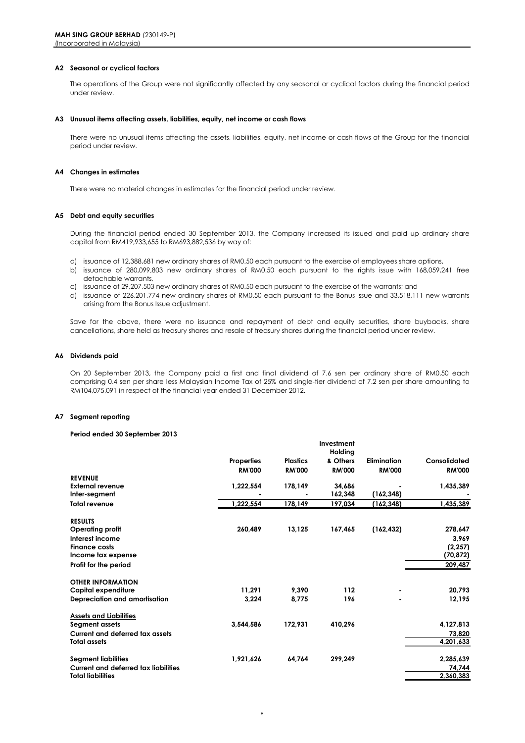#### **A2 Seasonal or cyclical factors**

The operations of the Group were not significantly affected by any seasonal or cyclical factors during the financial period under review.

#### **A3 Unusual items affecting assets, liabilities, equity, net income or cash flows**

There were no unusual items affecting the assets, liabilities, equity, net income or cash flows of the Group for the financial period under review.

#### **A4 Changes in estimates**

There were no material changes in estimates for the financial period under review.

#### **A5 Debt and equity securities**

During the financial period ended 30 September 2013, the Company increased its issued and paid up ordinary share capital from RM419,933,655 to RM693,882,536 by way of:

- a) issuance of 12,388,681 new ordinary shares of RM0.50 each pursuant to the exercise of employees share options,
- b) issuance of 280,099,803 new ordinary shares of RM0.50 each pursuant to the rights issue with 168,059,241 free detachable warrants,
- c) issuance of 29,207,503 new ordinary shares of RM0.50 each pursuant to the exercise of the warrants; and
- d) issuance of 226,201,774 new ordinary shares of RM0.50 each pursuant to the Bonus Issue and 33,518,111 new warrants arising from the Bonus Issue adjustment.

Save for the above, there were no issuance and repayment of debt and equity securities, share buybacks, share cancellations, share held as treasury shares and resale of treasury shares during the financial period under review.

#### **A6 Dividends paid**

On 20 September 2013, the Company paid a first and final dividend of 7.6 sen per ordinary share of RM0.50 each comprising 0.4 sen per share less Malaysian Income Tax of 25% and single-tier dividend of 7.2 sen per share amounting to RM104,075,091 in respect of the financial year ended 31 December 2012.

**Investment**

#### **A7 Segment reporting**

#### **Period ended 30 September 2013**

|                                             |                   |                 | пічезіпіеті<br>Holdina |                    |               |
|---------------------------------------------|-------------------|-----------------|------------------------|--------------------|---------------|
|                                             | <b>Properties</b> | <b>Plastics</b> | & Others               | <b>Elimination</b> | Consolidated  |
|                                             | <b>RM'000</b>     | <b>RM'000</b>   | <b>RM'000</b>          | <b>RM'000</b>      | <b>RM'000</b> |
| <b>REVENUE</b>                              |                   |                 |                        |                    |               |
| <b>External revenue</b>                     | 1,222,554         | 178,149         | 34.686                 |                    | 1,435,389     |
| Inter-segment                               |                   |                 | 162,348                | (162, 348)         |               |
| <b>Total revenue</b>                        | 1,222,554         | 178,149         | 197,034                | (162, 348)         | 1,435,389     |
| <b>RESULTS</b>                              |                   |                 |                        |                    |               |
| <b>Operating profit</b>                     | 260,489           | 13,125          | 167,465                | (162, 432)         | 278,647       |
| Interest income                             |                   |                 |                        |                    | 3.969         |
| <b>Finance costs</b>                        |                   |                 |                        |                    | (2, 257)      |
| Income tax expense                          |                   |                 |                        |                    | (70, 872)     |
| Profit for the period                       |                   |                 |                        |                    | 209,487       |
| <b>OTHER INFORMATION</b>                    |                   |                 |                        |                    |               |
| Capital expenditure                         | 11.291            | 9,390           | 112                    |                    | 20,793        |
| Depreciation and amortisation               | 3,224             | 8.775           | 196                    |                    | 12,195        |
| <b>Assets and Liabilities</b>               |                   |                 |                        |                    |               |
| Segment assets                              | 3.544.586         | 172,931         | 410,296                |                    | 4,127,813     |
| <b>Current and deferred tax assets</b>      |                   |                 |                        |                    | 73,820        |
| <b>Total assets</b>                         |                   |                 |                        |                    | 4,201,633     |
| <b>Seament liabilities</b>                  | 1,921,626         | 64.764          | 299,249                |                    | 2,285,639     |
| <b>Current and deferred tax liabilities</b> |                   |                 |                        |                    | 74,744        |
| <b>Total liabilities</b>                    |                   |                 |                        |                    | 2,360,383     |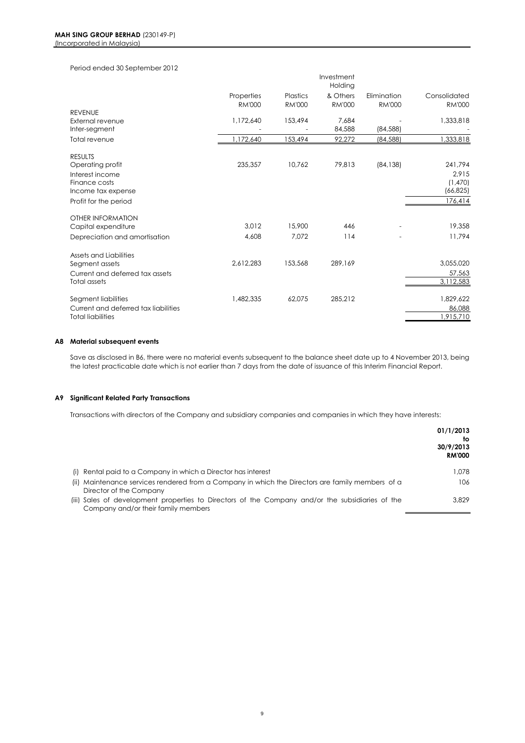### Period ended 30 September 2012

|                                      |               |               | Investment<br>Holding |               |               |
|--------------------------------------|---------------|---------------|-----------------------|---------------|---------------|
|                                      | Properties    | Plastics      | & Others              | Elimination   | Consolidated  |
|                                      | <b>RM'000</b> | <b>RM'000</b> | <b>RM'000</b>         | <b>RM'000</b> | <b>RM'000</b> |
| <b>REVENUE</b>                       |               |               |                       |               |               |
| External revenue                     | 1,172,640     | 153,494       | 7,684                 |               | 1,333,818     |
| Inter-segment                        |               |               | 84,588                | (84, 588)     |               |
| Total revenue                        | 1,172,640     | 153,494       | 92,272                | (84, 588)     | 1,333,818     |
| <b>RESULTS</b>                       |               |               |                       |               |               |
| Operating profit                     | 235,357       | 10,762        | 79,813                | (84, 138)     | 241,794       |
| Interest income                      |               |               |                       |               | 2.915         |
| Finance costs                        |               |               |                       |               | (1,470)       |
| Income tax expense                   |               |               |                       |               | (66, 825)     |
| Profit for the period                |               |               |                       |               | 176,414       |
| <b>OTHER INFORMATION</b>             |               |               |                       |               |               |
| Capital expenditure                  | 3.012         | 15,900        | 446                   |               | 19,358        |
| Depreciation and amortisation        | 4,608         | 7,072         | 114                   |               | 11,794        |
| Assets and Liabilities               |               |               |                       |               |               |
| Segment assets                       | 2,612,283     | 153,568       | 289,169               |               | 3,055,020     |
| Current and deferred tax assets      |               |               |                       |               | 57,563        |
| <b>Total assets</b>                  |               |               |                       |               | 3,112,583     |
| Segment liabilities                  | 1,482,335     | 62,075        | 285,212               |               | 1,829,622     |
| Current and deferred tax liabilities |               |               |                       |               | 86,088        |
| <b>Total liabilities</b>             |               |               |                       |               | 1,915,710     |

#### **A8 Material subsequent events**

Save as disclosed in B6, there were no material events subsequent to the balance sheet date up to 4 November 2013, being the latest practicable date which is not earlier than 7 days from the date of issuance of this Interim Financial Report.

#### **A9 Significant Related Party Transactions**

Transactions with directors of the Company and subsidiary companies and companies in which they have interests:

|                                                                                                                                         | 01/1/2013<br>to<br>30/9/2013<br><b>RM'000</b> |
|-----------------------------------------------------------------------------------------------------------------------------------------|-----------------------------------------------|
| (i) Rental paid to a Company in which a Director has interest                                                                           | 1.078                                         |
| (ii) Maintenance services rendered from a Company in which the Directors are family members of a<br>Director of the Company             | 106                                           |
| (iii) Sales of development properties to Directors of the Company and/or the subsidiaries of the<br>Company and/or their family members | 3.829                                         |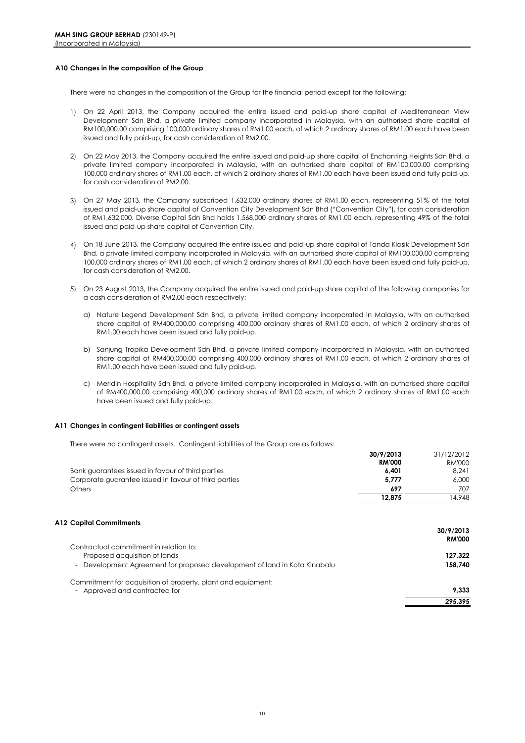#### **A10 Changes in the composition of the Group**

There were no changes in the composition of the Group for the financial period except for the following:

- 1) On 22 April 2013, the Company acquired the entire issued and paid-up share capital of Mediterranean View Development Sdn Bhd, a private limited company incorporated in Malaysia, with an authorised share capital of RM100,000.00 comprising 100,000 ordinary shares of RM1.00 each, of which 2 ordinary shares of RM1.00 each have been issued and fully paid-up, for cash consideration of RM2.00.
- 2) On 22 May 2013, the Company acquired the entire issued and paid-up share capital of Enchanting Heights Sdn Bhd, a private limited company incorporated in Malaysia, with an authorised share capital of RM100,000.00 comprising 100,000 ordinary shares of RM1.00 each, of which 2 ordinary shares of RM1.00 each have been issued and fully paid-up, for cash consideration of RM2.00.
- 3) On 27 May 2013, the Company subscribed 1,632,000 ordinary shares of RM1.00 each, representing 51% of the total issued and paid-up share capital of Convention City Development Sdn Bhd ("Convention City"), for cash consideration of RM1,632,000. Diverse Capital Sdn Bhd holds 1,568,000 ordinary shares of RM1.00 each, representing 49% of the total issued and paid-up share capital of Convention City.
- 4) On 18 June 2013, the Company acquired the entire issued and paid-up share capital of Tanda Klasik Development Sdn Bhd, a private limited company incorporated in Malaysia, with an authorised share capital of RM100,000.00 comprising 100,000 ordinary shares of RM1.00 each, of which 2 ordinary shares of RM1.00 each have been issued and fully paid-up, for cash consideration of RM2.00.
- 5) On 23 August 2013, the Company acquired the entire issued and paid-up share capital of the following companies for a cash consideration of RM2.00 each respectively:
	- a) Nature Legend Development Sdn Bhd, a private limited company incorporated in Malaysia, with an authorised share capital of RM400,000.00 comprising 400,000 ordinary shares of RM1.00 each, of which 2 ordinary shares of RM1.00 each have been issued and fully paid-up.
	- b) Sanjung Tropika Development Sdn Bhd, a private limited company incorporated in Malaysia, with an authorised share capital of RM400,000.00 comprising 400,000 ordinary shares of RM1.00 each, of which 2 ordinary shares of RM1.00 each have been issued and fully paid-up.
	- c) Meridin Hospitality Sdn Bhd, a private limited company incorporated in Malaysia, with an authorised share capital of RM400,000.00 comprising 400,000 ordinary shares of RM1.00 each, of which 2 ordinary shares of RM1.00 each have been issued and fully paid-up.

#### **A11 Changes in contingent liabilities or contingent assets**

There were no contingent assets. Contingent liabilities of the Group are as follows:

|                                                       | 30/9/2013     | 31/12/2012 |
|-------------------------------------------------------|---------------|------------|
|                                                       | <b>RM'000</b> | RM'000     |
| Bank guarantees issued in favour of third parties     | 6.401         | 8.241      |
| Corporate guarantee issued in favour of third parties | 5.777         | 6.000      |
| Others                                                | 697           | 707        |
|                                                       | 12.875        | 4.948      |

#### **A12 Capital Commitments**

|                                                                           | 30/9/2013     |
|---------------------------------------------------------------------------|---------------|
|                                                                           | <b>RM'000</b> |
| Contractual commitment in relation to:                                    |               |
| - Proposed acquisition of lands                                           | 127.322       |
| - Development Agreement for proposed development of land in Kota Kinabalu | 158.740       |
| Commitment for acquisition of property, plant and equipment:              |               |
| - Approved and contracted for                                             | 9.333         |
|                                                                           | 295,395       |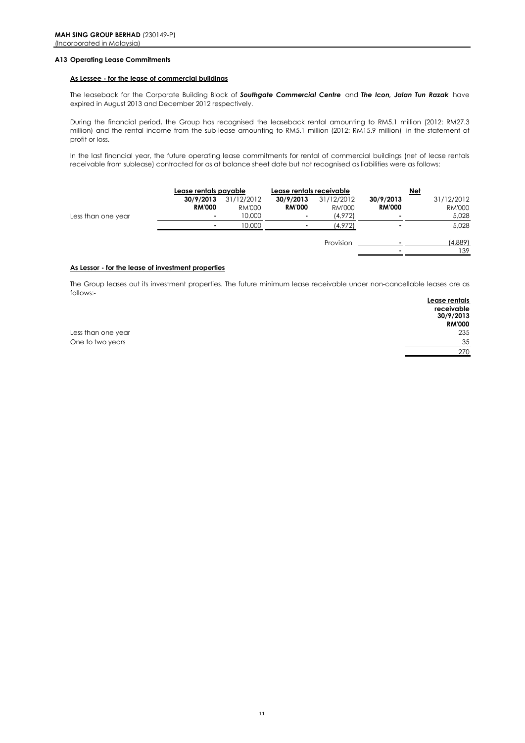#### **A13 Operating Lease Commitments**

#### **As Lessee - for the lease of commercial buildings**

The leaseback for the Corporate Building Block of *Southgate Commercial Centre* and *The Icon, Jalan Tun Razak* have expired in August 2013 and December 2012 respectively.

During the financial period, the Group has recognised the leaseback rental amounting to RM5.1 million (2012: RM27.3 million) and the rental income from the sub-lease amounting to RM5.1 million (2012: RM15.9 million) in the statement of profit or loss.

In the last financial year, the future operating lease commitments for rental of commercial buildings (net of lease rentals receivable from sublease) contracted for as at balance sheet date but not recognised as liabilities were as follows:

|                    | Lease rentals payable      |                                | Lease rentals receivable        |                                 |                            | <u>Net</u>                           |
|--------------------|----------------------------|--------------------------------|---------------------------------|---------------------------------|----------------------------|--------------------------------------|
| Less than one year | 30/9/2013<br><b>RM'000</b> | 31/12/2012<br>RM'000<br>10,000 | 30/9/2013<br><b>RM'000</b><br>۰ | 31/12/2012<br>RM'000<br>(4,972) | 30/9/2013<br><b>RM'000</b> | 31/12/2012<br><b>RM'000</b><br>5,028 |
|                    |                            | 10,000                         |                                 | (4,972)                         |                            | 5,028                                |
|                    |                            |                                |                                 | Provision                       |                            | (4,889)<br>139                       |

#### **As Lessor - for the lease of investment properties**

**Lease rentals**  The Group leases out its investment properties. The future minimum lease receivable under non-cancellable leases are as follows:-

|                    | <b>Leuse Terrius</b> |
|--------------------|----------------------|
|                    | receivable           |
|                    | 30/9/2013            |
|                    | <b>RM'000</b>        |
| Less than one year | 235                  |
| One to two years   | 35                   |
|                    | 270                  |
|                    |                      |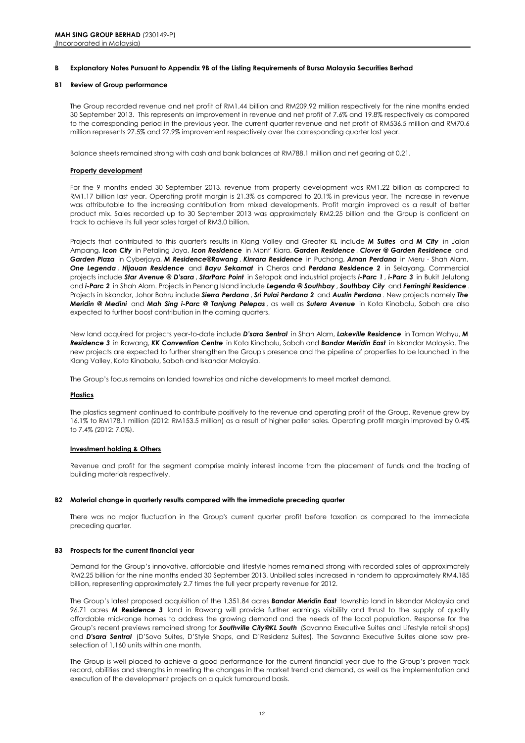#### **B Explanatory Notes Pursuant to Appendix 9B of the Listing Requirements of Bursa Malaysia Securities Berhad**

#### **B1 Review of Group performance**

The Group recorded revenue and net profit of RM1.44 billion and RM209.92 million respectively for the nine months ended 30 September 2013. This represents an improvement in revenue and net profit of 7.6% and 19.8% respectively as compared to the corresponding period in the previous year. The current quarter revenue and net profit of RM536.5 million and RM70.6 million represents 27.5% and 27.9% improvement respectively over the corresponding quarter last year.

Balance sheets remained strong with cash and bank balances at RM788.1 million and net gearing at 0.21.

#### **Property development**

For the 9 months ended 30 September 2013, revenue from property development was RM1.22 billion as compared to RM1.17 billion last year. Operating profit margin is 21.3% as compared to 20.1% in previous year. The increase in revenue was attributable to the increasing contribution from mixed developments. Profit margin improved as a result of better product mix. Sales recorded up to 30 September 2013 was approximately RM2.25 billion and the Group is confident on track to achieve its full year sales target of RM3.0 billion.

Projects that contributed to this quarter's results in Klang Valley and Greater KL include *M Suites* and *M City* in Jalan Ampang, *Icon City* in Petaling Jaya, *Icon Residence* in Mont' Kiara, *Garden Residence* , *Clover @ Garden Residence* and *Garden Plaza* in Cyberjaya, *M Residence@Rawang* , *Kinrara Residence* in Puchong, *Aman Perdana* in Meru - Shah Alam, *One Legenda* , *Hijauan Residence* and *Bayu Sekamat* in Cheras and *Perdana Residence 2* in Selayang. Commercial projects include *Star Avenue @ D'sara* , *StarParc Point* in Setapak and industrial projects *i-Parc 1* , *i-Parc 3* in Bukit Jelutong and *i-Parc 2* in Shah Alam. Projects in Penang Island include *Legenda @ Southbay* , *Southbay City* and *Ferringhi Residence* . Projects in Iskandar, Johor Bahru include *Sierra Perdana* , *Sri Pulai Perdana 2* and *Austin Perdana* . New projects namely *The Meridin @ Medini* and *Mah Sing i-Parc @ Tanjung Pelepas* , as well as *Sutera Avenue* in Kota Kinabalu, Sabah are also expected to further boost contribution in the coming quarters.

New land acquired for projects year-to-date include *D'sara Sentral* in Shah Alam, *Lakeville Residence* in Taman Wahyu, *M Residence 3* in Rawang, *KK Convention Centre* in Kota Kinabalu, Sabah and *Bandar Meridin East* in Iskandar Malaysia. The new projects are expected to further strengthen the Group's presence and the pipeline of properties to be launched in the Klang Valley, Kota Kinabalu, Sabah and Iskandar Malaysia.

The Group's focus remains on landed townships and niche developments to meet market demand.

#### **Plastics**

The plastics segment continued to contribute positively to the revenue and operating profit of the Group. Revenue grew by 16.1% to RM178.1 million (2012: RM153.5 million) as a result of higher pallet sales. Operating profit margin improved by 0.4% to 7.4% (2012: 7.0%).

#### **Investment holding & Others**

Revenue and profit for the segment comprise mainly interest income from the placement of funds and the trading of building materials respectively.

#### **B2 Material change in quarterly results compared with the immediate preceding quarter**

There was no major fluctuation in the Group's current quarter profit before taxation as compared to the immediate preceding quarter.

#### **B3 Prospects for the current financial year**

Demand for the Group's innovative, affordable and lifestyle homes remained strong with recorded sales of approximately RM2.25 billion for the nine months ended 30 September 2013. Unbilled sales increased in tandem to approximately RM4.185 billion, representing approximately 2.7 times the full year property revenue for 2012.

The Group's latest proposed acquisition of the 1,351.84 acres *Bandar Meridin East* township land in Iskandar Malaysia and 96.71 acres *M Residence 3* land in Rawang will provide further earnings visibility and thrust to the supply of quality affordable mid-range homes to address the growing demand and the needs of the local population. Response for the Group's recent previews remained strong for *Southville City@KL South* (Savanna Executive Suites and Lifestyle retail shops) and *D'sara Sentral* (D'Sovo Suites, D'Style Shops, and D'Residenz Suites). The Savanna Executive Suites alone saw preselection of 1,160 units within one month.

The Group is well placed to achieve a good performance for the current financial year due to the Group's proven track record, abilities and strengths in meeting the changes in the market trend and demand, as well as the implementation and execution of the development projects on a quick turnaround basis.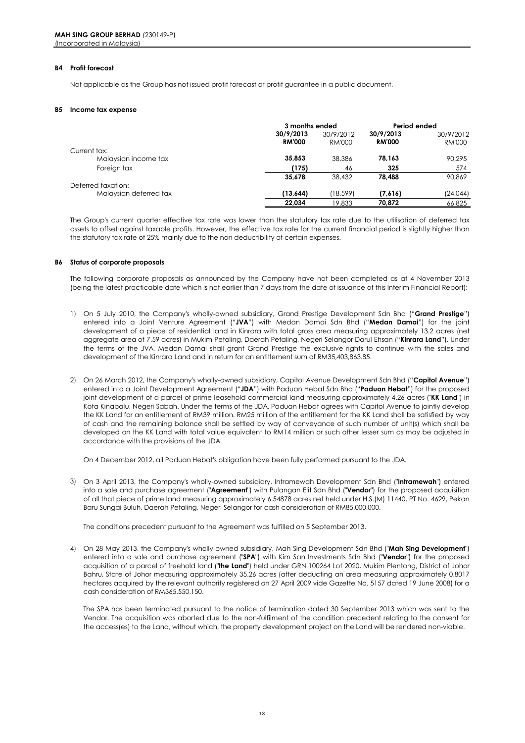#### **B4 Profit forecast**

Not applicable as the Group has not issued profit forecast or profit guarantee in a public document.

#### **B5 Income tax expense**

|                        | 3 months ended |           | Period ended  |           |
|------------------------|----------------|-----------|---------------|-----------|
|                        | 30/9/2013      | 30/9/2012 | 30/9/2013     | 30/9/2012 |
|                        | <b>RM'000</b>  | RM'000    | <b>RM'000</b> | RM'000    |
| Current tax:           |                |           |               |           |
| Malaysian income tax   | 35,853         | 38,386    | 78.163        | 90.295    |
| Foreign tax            | (175)          | 46        | 325           | 574       |
|                        | 35.678         | 38,432    | 78.488        | 90,869    |
| Deferred taxation:     |                |           |               |           |
| Malaysian deferred tax | (13, 644)      | (18,599)  | (7,616)       | (24, 044) |
|                        | 22,034         | 19,833    | 70,872        | 66,825    |

The Group's current quarter effective tax rate was lower than the statutory tax rate due to the utilisation of deferred tax assets to offset against taxable profits. However, the effective tax rate for the current financial period is slightly higher than the statutory tax rate of 25% mainly due to the non deductibility of certain expenses.

#### **B6 Status of corporate proposals**

The following corporate proposals as announced by the Company have not been completed as at 4 November 2013 (being the latest practicable date which is not earlier than 7 days from the date of issuance of this Interim Financial Report):

- 1) On 5 July 2010, the Company's wholly-owned subsidiary, Grand Prestige Development Sdn Bhd ("**Grand Prestige**") entered into a Joint Venture Agreement ("**JVA**") with Medan Damai Sdn Bhd ("**Medan Damai**") for the joint development of a piece of residential land in Kinrara with total gross area measuring approximately 13.2 acres (net aggregate area of 7.59 acres) in Mukim Petaling, Daerah Petaling, Negeri Selangor Darul Ehsan ("**Kinrara Land**"). Under the terms of the JVA, Medan Damai shall grant Grand Prestige the exclusive rights to continue with the sales and development of the Kinrara Land and in return for an entitlement sum of RM35,403,863.85.
- 2) On 26 March 2012, the Company's wholly-owned subsidiary, Capitol Avenue Development Sdn Bhd ("**Capitol Avenue**") entered into a Joint Development Agreement ("**JDA**") with Paduan Hebat Sdn Bhd ("**Paduan Hebat**") for the proposed joint development of a parcel of prime leasehold commercial land measuring approximately 4.26 acres ("**KK Land**") in Kota Kinabalu, Negeri Sabah. Under the terms of the JDA, Paduan Hebat agrees with Capitol Avenue to jointly develop the KK Land for an entitlement of RM39 million. RM25 million of the entitlement for the KK Land shall be satisfied by way of cash and the remaining balance shall be settled by way of conveyance of such number of unit(s) which shall be developed on the KK Land with total value equivalent to RM14 million or such other lesser sum as may be adjusted in accordance with the provisions of the JDA.

On 4 December 2012, all Paduan Hebat's obligation have been fully performed pursuant to the JDA.

3) On 3 April 2013, the Company's wholly-owned subsidiary, Intramewah Development Sdn Bhd ("**Intramewah**") entered into a sale and purchase agreement ("**Agreement**") with Pulangan Elit Sdn Bhd ("**Vendor**") for the proposed acquisition of all that piece of prime land measuring approximately 6.54878 acres net held under H.S.(M) 11440, PT No. 4629, Pekan Baru Sungai Buluh, Daerah Petaling, Negeri Selangor for cash consideration of RM85,000,000.

The conditions precedent pursuant to the Agreement was fulfilled on 5 September 2013.

4) On 28 May 2013, the Company's wholly-owned subsidiary, Mah Sing Development Sdn Bhd ("**Mah Sing Development**") entered into a sale and purchase agreement ("**SPA**") with Kim San Investments Sdn Bhd ("**Vendor**") for the proposed acquisition of a parcel of freehold land ("**the Land**") held under GRN 100264 Lot 2020, Mukim Plentong, District of Johor Bahru, State of Johor measuring approximately 35.26 acres (after deducting an area measuring approximately 0.8017 hectares acquired by the relevant authority registered on 27 April 2009 vide Gazette No. 5157 dated 19 June 2008) for a cash consideration of RM365,550,150.

The SPA has been terminated pursuant to the notice of termination dated 30 September 2013 which was sent to the Vendor. The acquisition was aborted due to the non-fulfilment of the condition precedent relating to the consent for the access(es) to the Land, without which, the property development project on the Land will be rendered non-viable.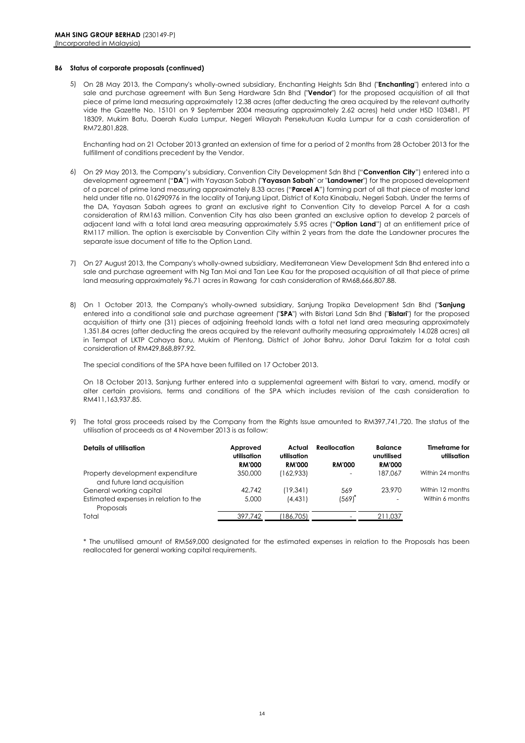#### **B6 Status of corporate proposals (continued)**

5) On 28 May 2013, the Company's wholly-owned subsidiary, Enchanting Heights Sdn Bhd ("**Enchanting**") entered into a sale and purchase agreement with Bun Seng Hardware Sdn Bhd ("**Vendor**") for the proposed acquisition of all that piece of prime land measuring approximately 12.38 acres (after deducting the area acquired by the relevant authority vide the Gazette No. 15101 on 9 September 2004 measuring approximately 2.62 acres) held under HSD 103481, PT 18309, Mukim Batu, Daerah Kuala Lumpur, Negeri Wilayah Persekutuan Kuala Lumpur for a cash consideration of RM72,801,828.

Enchanting had on 21 October 2013 granted an extension of time for a period of 2 months from 28 October 2013 for the fulfillment of conditions precedent by the Vendor.

- 6) On 29 May 2013, the Company's subsidiary, Convention City Development Sdn Bhd ("**Convention City**") entered into a development agreement ("**DA**") with Yayasan Sabah ("**Yayasan Sabah**" or "**Landowner**") for the proposed development of a parcel of prime land measuring approximately 8.33 acres ("**Parcel A**") forming part of all that piece of master land held under title no. 016290976 in the locality of Tanjung Lipat, District of Kota Kinabalu, Negeri Sabah. Under the terms of the DA, Yayasan Sabah agrees to grant an exclusive right to Convention City to develop Parcel A for a cash consideration of RM163 million. Convention City has also been granted an exclusive option to develop 2 parcels of adjacent land with a total land area measuring approximately 5.95 acres ("**Option Land**") at an entitlement price of RM117 million. The option is exercisable by Convention City within 2 years from the date the Landowner procures the separate issue document of title to the Option Land.
- 7) On 27 August 2013, the Company's wholly-owned subsidiary, Mediterranean View Development Sdn Bhd entered into a sale and purchase agreement with Ng Tan Moi and Tan Lee Kau for the proposed acquisition of all that piece of prime land measuring approximately 96.71 acres in Rawang for cash consideration of RM68,666,807.88.
- 8) On 1 October 2013, the Company's wholly-owned subsidiary, Sanjung Tropika Development Sdn Bhd ("**Sanjung** ") entered into a conditional sale and purchase agreement ("**SPA**") with Bistari Land Sdn Bhd ("**Bistari**") for the proposed acquisition of thirty one (31) pieces of adjoining freehold lands with a total net land area measuring approximately 1,351.84 acres (after deducting the areas acquired by the relevant authority measuring approximately 14.028 acres) all in Tempat of LKTP Cahaya Baru, Mukim of Plentong, District of Johor Bahru, Johor Darul Takzim for a total cash consideration of RM429,868,897.92.

The special conditions of the SPA have been fulfilled on 17 October 2013.

On 18 October 2013, Sanjung further entered into a supplemental agreement with Bistari to vary, amend, modify or alter certain provisions, terms and conditions of the SPA which includes revision of the cash consideration to RM411,163,937.85.

9) The total gross proceeds raised by the Company from the Rights Issue amounted to RM397,741,720. The status of the utilisation of proceeds as at 4 November 2013 is as follow:

| <b>Details of utilisation</b>                                                 | Approved<br>utilisation<br><b>RM'000</b> | Actual<br>utilisation<br><b>RM'000</b> | <b>Reallocation</b><br><b>RM'000</b> | <b>Balance</b><br>unutilised<br><b>RM'000</b> | <b>Timeframe for</b><br>utilisation |
|-------------------------------------------------------------------------------|------------------------------------------|----------------------------------------|--------------------------------------|-----------------------------------------------|-------------------------------------|
| Property development expenditure<br>and future land acquisition               | 350,000                                  | (162,933)                              | $\overline{\phantom{0}}$             | 187.067                                       | Within 24 months                    |
| General working capital<br>Estimated expenses in relation to the<br>Proposals | 42.742<br>5,000                          | (19, 341)<br>(4, 431)                  | 569<br>(569)                         | 23,970                                        | Within 12 months<br>Within 6 months |
| Total                                                                         | 397.742                                  | (186,705)                              |                                      | 211.037                                       |                                     |

\* The unutilised amount of RM569,000 designated for the estimated expenses in relation to the Proposals has been reallocated for general working capital requirements.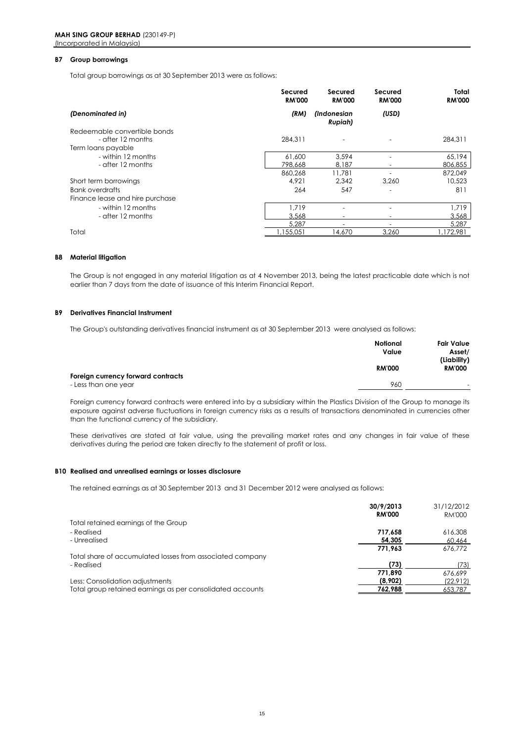#### **B7 Group borrowings**

Total group borrowings as at 30 September 2013 were as follows:

|                                 | Secured<br><b>RM'000</b> | Secured<br><b>RM'000</b>                    | Secured<br><b>RM'000</b> | Total<br><b>RM'000</b> |
|---------------------------------|--------------------------|---------------------------------------------|--------------------------|------------------------|
| (Denominated in)                | (RM)                     | <i><b>Indonesian</b></i><br><b>Rupiah</b> ) | (USD)                    |                        |
| Redeemable convertible bonds    |                          |                                             |                          |                        |
| - after 12 months               | 284.311                  | ٠                                           |                          | 284.311                |
| Term loans payable              |                          |                                             |                          |                        |
| - within 12 months              | 61,600                   | 3.594                                       |                          | 65,194                 |
| - after 12 months               | 798,668                  | 8,187                                       |                          | 806,855                |
|                                 | 860,268                  | 11.781                                      |                          | 872,049                |
| Short term borrowings           | 4,921                    | 2,342                                       | 3,260                    | 10,523                 |
| Bank overdrafts                 | 264                      | 547                                         |                          | 811                    |
| Finance lease and hire purchase |                          |                                             |                          |                        |
| - within 12 months              | 1.719                    |                                             |                          | 1,719                  |
| - after 12 months               | 3,568                    |                                             |                          | 3,568                  |
|                                 | 5.287                    |                                             |                          | 5,287                  |
| Total                           | 1,155,051                | 14,670                                      | 3.260                    | ,172,981               |

#### **B8 Material litigation**

The Group is not engaged in any material litigation as at 4 November 2013, being the latest practicable date which is not earlier than 7 days from the date of issuance of this Interim Financial Report.

#### **B9 Derivatives Financial Instrument**

The Group's outstanding derivatives financial instrument as at 30 September 2013 were analysed as follows:

|                                    | Notional<br>Value<br><b>RM'000</b> | <b>Fair Value</b><br>Asset/  |
|------------------------------------|------------------------------------|------------------------------|
| Foreign currency forward contracts |                                    | (Liability)<br><b>RM'000</b> |
| - Less than one year               | 960                                | $\overline{\phantom{0}}$     |

Foreign currency forward contracts were entered into by a subsidiary within the Plastics Division of the Group to manage its exposure against adverse fluctuations in foreign currency risks as a results of transactions denominated in currencies other than the functional currency of the subsidiary.

These derivatives are stated at fair value, using the prevailing market rates and any changes in fair value of these derivatives during the period are taken directly to the statement of profit or loss.

#### **B10 Realised and unrealised earnings or losses disclosure**

The retained earnings as at 30 September 2013 and 31 December 2012 were analysed as follows:

|                                                            | 30/9/2013     | 31/12/2012    |
|------------------------------------------------------------|---------------|---------------|
|                                                            | <b>RM'000</b> | <b>RM'000</b> |
| Total retained earnings of the Group                       |               |               |
| - Realised                                                 | 717.658       | 616,308       |
| - Unrealised                                               | 54.305        | 60,464        |
|                                                            | 771.963       | 676.772       |
| Total share of accumulated losses from associated company  |               |               |
| - Realised                                                 | (73)          | '73)          |
|                                                            | 771.890       | 676.699       |
| Less: Consolidation adjustments                            | (8,902)       | (22,912)      |
| Total group retained earnings as per consolidated accounts | 762.988       | 653,787       |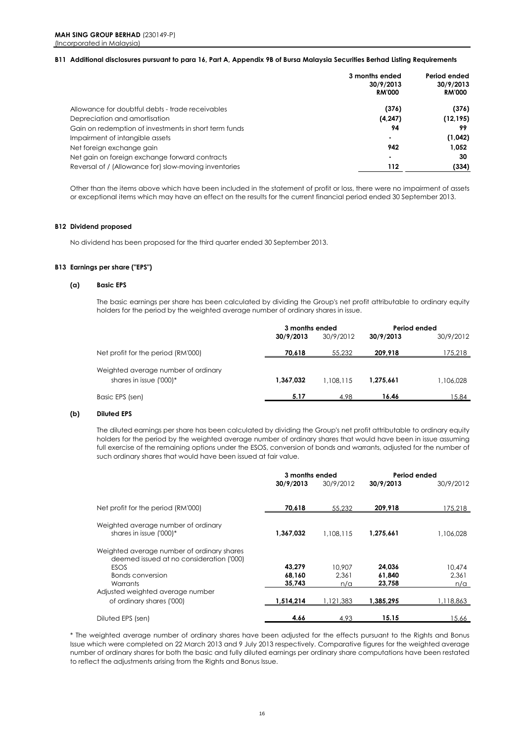#### **B11 Additional disclosures pursuant to para 16, Part A, Appendix 9B of Bursa Malaysia Securities Berhad Listing Requirements**

| 30/9/2013<br><b>RM'000</b> |
|----------------------------|
| (376)                      |
| (12, 195)                  |
| 99                         |
| (1,042)                    |
| 1.052                      |
| 30                         |
| (334)                      |
|                            |

Other than the items above which have been included in the statement of profit or loss, there were no impairment of assets or exceptional items which may have an effect on the results for the current financial period ended 30 September 2013.

### **B12 Dividend proposed**

No dividend has been proposed for the third quarter ended 30 September 2013.

#### **B13 Earnings per share ("EPS")**

#### **(a) Basic EPS**

The basic earnings per share has been calculated by dividing the Group's net profit attributable to ordinary equity holders for the period by the weighted average number of ordinary shares in issue.

|                                     | 3 months ended |           | Period ended |           |
|-------------------------------------|----------------|-----------|--------------|-----------|
|                                     | 30/9/2013      | 30/9/2012 | 30/9/2013    | 30/9/2012 |
| Net profit for the period (RM'000)  | 70.618         | 55,232    | 209.918      | 175,218   |
| Weighted average number of ordinary |                |           |              |           |
| shares in issue ('000)*             | 1.367.032      | 1.108.115 | 1.275.661    | 1.106.028 |
| Basic EPS (sen)                     | 5.17           | 4.98      | 16.46        | 15.84     |
|                                     |                |           |              |           |

#### **(b) Diluted EPS**

The diluted earnings per share has been calculated by dividing the Group's net profit attributable to ordinary equity holders for the period by the weighted average number of ordinary shares that would have been in issue assuming full exercise of the remaining options under the ESOS, conversion of bonds and warrants, adjusted for the number of such ordinary shares that would have been issued at fair value.

|                                                                                                | 3 months ended |           | Period ended |           |
|------------------------------------------------------------------------------------------------|----------------|-----------|--------------|-----------|
|                                                                                                | 30/9/2013      | 30/9/2012 | 30/9/2013    | 30/9/2012 |
| Net profit for the period (RM'000)                                                             | 70,618         | 55,232    | 209,918      | 175,218   |
|                                                                                                |                |           |              |           |
| Weighted average number of ordinary<br>shares in issue ('000)*                                 | 1.367.032      | 1.108.115 | 1,275,661    | 1,106,028 |
| Weighted average number of ordinary shares<br>deemed issued at no consideration ('000)<br>ESOS | 43.279         | 10.907    | 24,036       | 10.474    |
| Bonds conversion                                                                               | 68,160         | 2.361     | 61,840       | 2.361     |
| Warrants                                                                                       | 35,743         | n/a       | 23,758       | n/a       |
| Adjusted weighted average number                                                               |                |           |              |           |
| of ordinary shares ('000)                                                                      | 1,514,214      | 1.121.383 | 1,385,295    | 1,118,863 |
| Diluted EPS (sen)                                                                              | 4.66           | 4.93      | 15.15        | 15.66     |

\* The weighted average number of ordinary shares have been adjusted for the effects pursuant to the Rights and Bonus Issue which were completed on 22 March 2013 and 9 July 2013 respectively. Comparative figures for the weighted average number of ordinary shares for both the basic and fully diluted earnings per ordinary share computations have been restated to reflect the adjustments arising from the Rights and Bonus Issue.